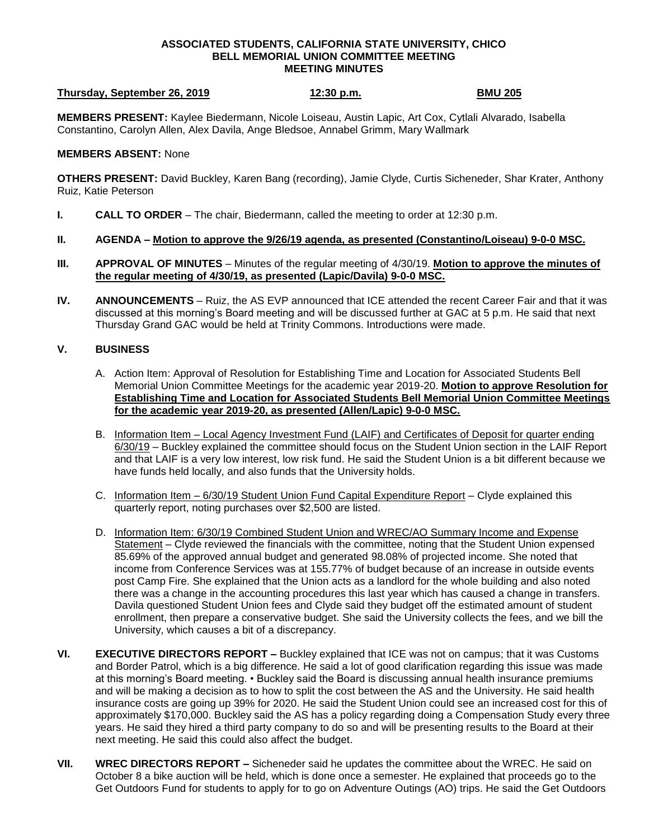## **ASSOCIATED STUDENTS, CALIFORNIA STATE UNIVERSITY, CHICO BELL MEMORIAL UNION COMMITTEE MEETING MEETING MINUTES**

## **Thursday, September 26, 2019 12:30 p.m. BMU 205**

**MEMBERS PRESENT:** Kaylee Biedermann, Nicole Loiseau, Austin Lapic, Art Cox, Cytlali Alvarado, Isabella Constantino, Carolyn Allen, Alex Davila, Ange Bledsoe, Annabel Grimm, Mary Wallmark

## **MEMBERS ABSENT:** None

**OTHERS PRESENT:** David Buckley, Karen Bang (recording), Jamie Clyde, Curtis Sicheneder, Shar Krater, Anthony Ruiz, Katie Peterson

- **I. CALL TO ORDER**  The chair, Biedermann, called the meeting to order at 12:30 p.m.
- **II. AGENDA – Motion to approve the 9/26/19 agenda, as presented (Constantino/Loiseau) 9-0-0 MSC.**
- **III. APPROVAL OF MINUTES** Minutes of the regular meeting of 4/30/19. **Motion to approve the minutes of the regular meeting of 4/30/19, as presented (Lapic/Davila) 9-0-0 MSC.**
- **IV. ANNOUNCEMENTS** Ruiz, the AS EVP announced that ICE attended the recent Career Fair and that it was discussed at this morning's Board meeting and will be discussed further at GAC at 5 p.m. He said that next Thursday Grand GAC would be held at Trinity Commons. Introductions were made.

## **V. BUSINESS**

- A. Action Item: Approval of Resolution for Establishing Time and Location for Associated Students Bell Memorial Union Committee Meetings for the academic year 2019-20. **Motion to approve Resolution for Establishing Time and Location for Associated Students Bell Memorial Union Committee Meetings for the academic year 2019-20, as presented (Allen/Lapic) 9-0-0 MSC.**
- B. Information Item Local Agency Investment Fund (LAIF) and Certificates of Deposit for quarter ending 6/30/19 – Buckley explained the committee should focus on the Student Union section in the LAIF Report and that LAIF is a very low interest, low risk fund. He said the Student Union is a bit different because we have funds held locally, and also funds that the University holds.
- C. Information Item 6/30/19 Student Union Fund Capital Expenditure Report Clyde explained this quarterly report, noting purchases over \$2,500 are listed.
- D. Information Item: 6/30/19 Combined Student Union and WREC/AO Summary Income and Expense Statement – Clyde reviewed the financials with the committee, noting that the Student Union expensed 85.69% of the approved annual budget and generated 98.08% of projected income. She noted that income from Conference Services was at 155.77% of budget because of an increase in outside events post Camp Fire. She explained that the Union acts as a landlord for the whole building and also noted there was a change in the accounting procedures this last year which has caused a change in transfers. Davila questioned Student Union fees and Clyde said they budget off the estimated amount of student enrollment, then prepare a conservative budget. She said the University collects the fees, and we bill the University, which causes a bit of a discrepancy.
- **VI. EXECUTIVE DIRECTORS REPORT –** Buckley explained that ICE was not on campus; that it was Customs and Border Patrol, which is a big difference. He said a lot of good clarification regarding this issue was made at this morning's Board meeting. • Buckley said the Board is discussing annual health insurance premiums and will be making a decision as to how to split the cost between the AS and the University. He said health insurance costs are going up 39% for 2020. He said the Student Union could see an increased cost for this of approximately \$170,000. Buckley said the AS has a policy regarding doing a Compensation Study every three years. He said they hired a third party company to do so and will be presenting results to the Board at their next meeting. He said this could also affect the budget.
- **VII. WREC DIRECTORS REPORT –** Sicheneder said he updates the committee about the WREC. He said on October 8 a bike auction will be held, which is done once a semester. He explained that proceeds go to the Get Outdoors Fund for students to apply for to go on Adventure Outings (AO) trips. He said the Get Outdoors